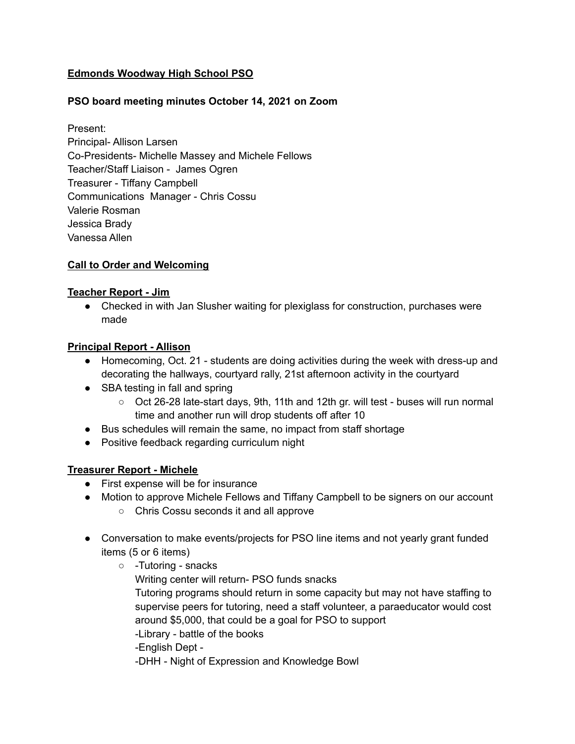# **Edmonds Woodway High School PSO**

# **PSO board meeting minutes October 14, 2021 on Zoom**

Present: Principal- Allison Larsen Co-Presidents- Michelle Massey and Michele Fellows Teacher/Staff Liaison - James Ogren Treasurer - Tiffany Campbell Communications Manager - Chris Cossu Valerie Rosman Jessica Brady Vanessa Allen

### **Call to Order and Welcoming**

### **Teacher Report - Jim**

● Checked in with Jan Slusher waiting for plexiglass for construction, purchases were made

### **Principal Report - Allison**

- Homecoming, Oct. 21 students are doing activities during the week with dress-up and decorating the hallways, courtyard rally, 21st afternoon activity in the courtyard
- SBA testing in fall and spring
	- Oct 26-28 late-start days, 9th, 11th and 12th gr. will test buses will run normal time and another run will drop students off after 10
- Bus schedules will remain the same, no impact from staff shortage
- Positive feedback regarding curriculum night

## **Treasurer Report - Michele**

- First expense will be for insurance
- Motion to approve Michele Fellows and Tiffany Campbell to be signers on our account ○ Chris Cossu seconds it and all approve
- Conversation to make events/projects for PSO line items and not yearly grant funded items (5 or 6 items)
	- -Tutoring snacks Writing center will return- PSO funds snacks Tutoring programs should return in some capacity but may not have staffing to supervise peers for tutoring, need a staff volunteer, a paraeducator would cost around \$5,000, that could be a goal for PSO to support -Library - battle of the books -English Dept - -DHH - Night of Expression and Knowledge Bowl